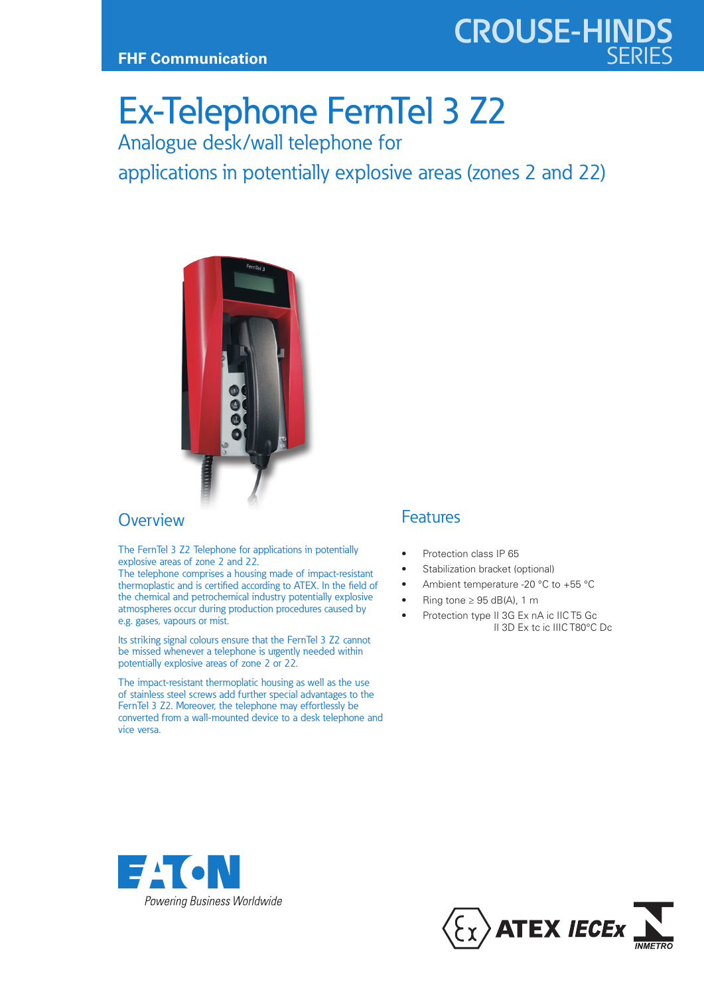

## Ex-Telephone FernTel 3 Z2

Analogue desk/wall telephone for

applications in potentially explosive areas (zones 2 and 22)



## **Overview**

The FernTel 3 Z2 Telephone for applications in potentially explosive areas of zone 2 and 22.

The telephone comprises a housing made of impact-resistant thermoplastic and is certified according to ATEX. In the field of the chemical and petrochemical industry potentially explosive atmospheres occur during production procedures caused by e.g. gases, vapours or mist.

Its striking signal colours ensure that the FernTel 3 Z2 cannot be missed whenever a telephone is urgently needed within potentially explosive areas of zone 2 or 22.

The impact-resistant thermoplatic housing as well as the use of stainless steel screws add further special advantages to the FernTel 3 Z2. Moreover, the telephone may effortlessly be converted from a wall-mounted device to a desk telephone and vice versa.

## Features

- Protection class IP 65
- Stabilization bracket (optional)
- Ambient temperature -20 °C to +55 °C
- Ring tone  $\geq$  95 dB(A), 1 m
- Protection type II 3G Ex nA ic IIC T5 Gc II 3D Ex tc ic IIIC T80°C Dc